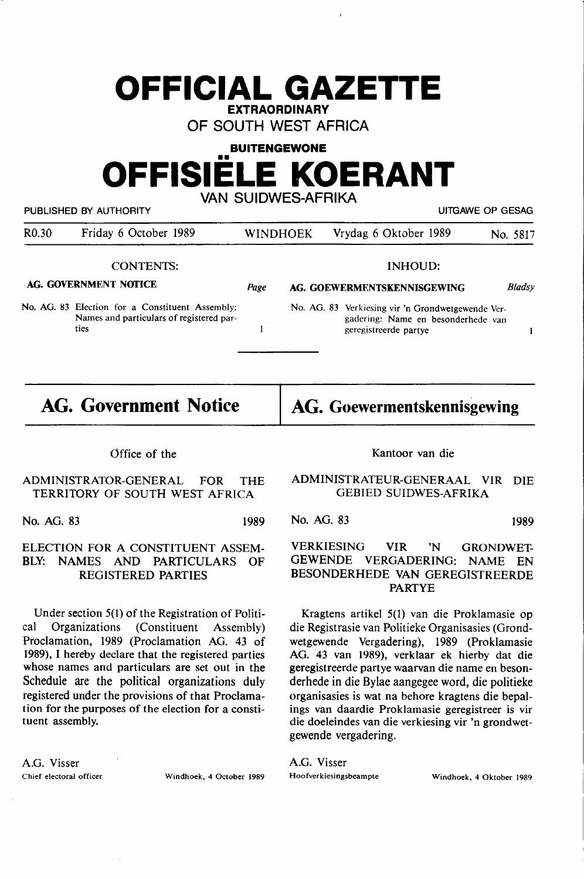## **OFFICIAL GAZETTE EXTRAORDINARY**

OF SOUTH WEST AFRICA

**BUITENGEWONE** 

# **OFFISIELE KOERANT**  VAN SUIDWES-AFRIKA

PUBLISHED BY AUTHORITY **EXECUTE A SECURE 2018 THE SECULAR SECURE 2019** UITGAWE OP GESAG

| R <sub>0.30</sub>     | Friday 6 October 1989                                                                               |      | WINDHOEK                    | Vrydag 6 Oktober 1989                                                                                            | No. 5817      |
|-----------------------|-----------------------------------------------------------------------------------------------------|------|-----------------------------|------------------------------------------------------------------------------------------------------------------|---------------|
|                       | <b>CONTENTS:</b>                                                                                    |      |                             | INHOUD:                                                                                                          |               |
| AG. GOVERNMENT NOTICE |                                                                                                     | Page | AG. GOEWERMENTSKENNISGEWING |                                                                                                                  | <b>Bladsy</b> |
|                       | No. AG. 83 Election for a Constituent Assembly:<br>Names and particulars of registered par-<br>ties |      |                             | No. AG. 83 Verkiesing vir 'n Grondwetgewende Ver-<br>gadering: Name en besonderhede van<br>geregistreerde partye |               |

**AG. Government Notice** 

**AG. Goewermentskennisgewing** 

#### Office of the

#### ADMINISTRATOR-GENERAL FOR THE TERRITORY OF SOUTH WEST AFRICA

No. AG. 83 1989

#### ELECTION FOR A CONSTITUENT ASSEM-BLY: NAMES AND PARTICULARS OF REGISTERED PARTIES

Under section 5(1) of the Registration of Political Organizations (Constituent Assembly) Proclamation, 1989 (Proclamation AG. 43 of 1989), I hereby declare that the registered parties whose names and particulars are set out in the Schedule are the political organizations duly registered under the provisions of that Proclamation for the purposes of the election for a constituent assembly.

**A.G. Visser** 

Kantoor van die

ADMINISTRATEUR-GENERAAL VIR DIE GEBIED SUIDWES-AFRIKA

No. AG. 83 1989

#### VERKIESING VIR 'N GRONDWET-GEWENDE VERGADERING: NAME EN BESONDERHEDE VAN GEREGISTREERDE PARTYE

Kragtens artikel 5(1) van die Proklamasie op die Registrasie van Politieke Organisasies (Grondwetgewende Vergadering), 1989 (Proklamasie AG. 43 van 1989), verklaar ek hierby dat die geregistreerde partye waarvan die name en besonderhede in die Bylae aangegee word, die politieke organisasies is wat na behore kragtens die bepalings van daardie Proklamasie geregistreer is vir die doeleindes van die verkiesing vir 'n grondwetgewende vergadering.

A.G. Visser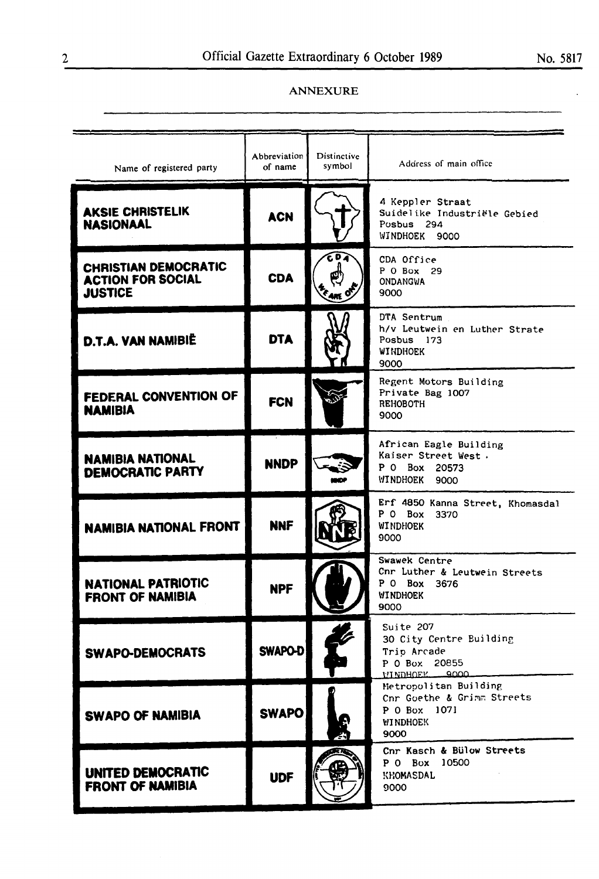### ANNEXURE

| Name of registered party                                                  | Abbreviation<br>of name | Distinctive<br>symbol | Address of main office                                                                         |
|---------------------------------------------------------------------------|-------------------------|-----------------------|------------------------------------------------------------------------------------------------|
| <b>AKSIE CHRISTELIK</b><br><b>NASIONAAL</b>                               | <b>ACN</b>              |                       | 4 Keppler Straat<br>Suidelike Industriële Gebied<br>Posbus 294<br>WINDHOEK 9000                |
| <b>CHRISTIAN DEMOCRATIC</b><br><b>ACTION FOR SOCIAL</b><br><b>JUSTICE</b> | <b>CDA</b>              | D                     | CDA Office<br>P 0 Box 29<br><b>ONDANGWA</b><br>9000                                            |
| D.T.A. VAN NAMIBIË                                                        | <b>DTA</b>              |                       | DTA Sentrum<br>h/v Leutwein en Luther Strate<br>Posbus 173<br><b>WINDHOEK</b><br>9000          |
| <b>FEDERAL CONVENTION OF</b><br><b>NAMIBIA</b>                            | <b>FCN</b>              |                       | Regent Motors Building<br>Private Bag 1007<br><b>REHOBOTH</b><br>9000                          |
| <b>NAMIBIA NATIONAL</b><br><b>DEMOCRATIC PARTY</b>                        | <b>NNDP</b>             |                       | African Eagle Building<br>Kaiser Street West.<br>P 0 Box 20573<br>WINDHOEK<br>9000             |
| <b>NAMIBIA NATIONAL FRONT</b>                                             | <b>NNF</b>              |                       | Erf 4850 Kanna Street, Khomasdal<br>P 0 Box 3370<br><b>WINDHOEK</b><br>9000                    |
| <b>NATIONAL PATRIOTIC</b><br>FRONT OF NAMIRIA                             | <b>NPF</b>              |                       | Swawek Centre<br>Cnr Luther & Leutwein Streets<br>P 0 Box 3676<br><b>WINDHOEK</b><br>9000      |
| <b>SWAPO-DEMOCRATS</b>                                                    | SWAPO-D                 |                       | Suite 207<br>30 City Centre Building<br>Trip Arcade<br>P 0 Box 20855<br>VINDHOEV 9000          |
| <b>SWAPO OF NAMIBIA</b>                                                   | <b>SWAPO</b>            |                       | Metropolitan Building<br>Cnr Goethe & Grimm Streets<br>P 0 Box 1071<br><b>WINDHOEK</b><br>9000 |
| UNITED DEMOCRATIC<br><b>FRONT OF NAMIBIA</b>                              | <b>UDF</b>              |                       | Cnr Kasch & Bülow Streets<br>P 0 Box 10500<br>KHOMASDAL<br>9000                                |